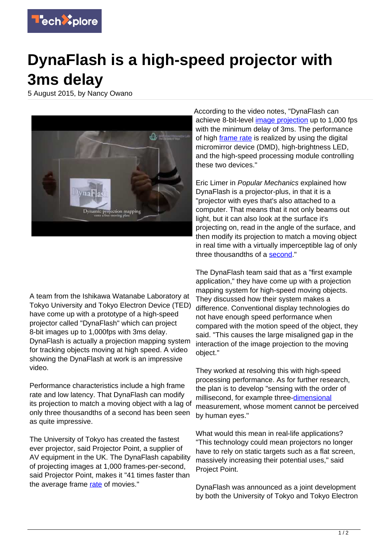

## **DynaFlash is a high-speed projector with 3ms delay**

5 August 2015, by Nancy Owano



A team from the Ishikawa Watanabe Laboratory at Tokyo University and Tokyo Electron Device (TED) have come up with a prototype of a high-speed projector called "DynaFlash" which can project 8-bit images up to 1,000fps with 3ms delay. DynaFlash is actually a projection mapping system for tracking objects moving at high speed. A video showing the DynaFlash at work is an impressive video.

Performance characteristics include a high frame rate and low latency. That DynaFlash can modify its projection to match a moving object with a lag of only three thousandths of a second has been seen as quite impressive.

The University of Tokyo has created the fastest ever projector, said Projector Point, a supplier of AV equipment in the UK. The DynaFlash capability of projecting images at 1,000 frames-per-second, said Projector Point, makes it "41 times faster than the average frame [rate](http://www.projectorpoint.co.uk/news/206553-university-of-tokyo-creates-fastest-ever-projector) of movies."

According to the video notes, "DynaFlash can achieve 8-bit-level [image projection](https://techxplore.com/tags/image+projection/) up to 1,000 fps with the minimum delay of 3ms. The performance of high *frame rate* is realized by using the digital micromirror device (DMD), high-brightness LED, and the high-speed processing module controlling these two devices."

Eric Limer in Popular Mechanics explained how DynaFlash is a projector-plus, in that it is a "projector with eyes that's also attached to a computer. That means that it not only beams out light, but it can also look at the surface it's projecting on, read in the angle of the surface, and then modify its projection to match a moving object in real time with a virtually imperceptible lag of only three thousandths of a [second](http://www.popularmechanics.com/technology/gadgets/a16680/1000fps-projector-3-millisecond-lag/)."

The DynaFlash team said that as a "first example application," they have come up with a projection mapping system for high-speed moving objects. They discussed how their system makes a difference. Conventional display technologies do not have enough speed performance when compared with the motion speed of the object, they said. "This causes the large misaligned gap in the interaction of the image projection to the moving object."

They worked at resolving this with high-speed processing performance. As for further research, the plan is to develop "sensing with the order of millisecond, for example three[-dimensional](http://www.k2.t.u-tokyo.ac.jp/vision/dynaflash/) measurement, whose moment cannot be perceived by human eyes."

What would this mean in real-life applications? "This technology could mean projectors no longer have to rely on static targets such as a flat screen, massively increasing their potential uses," said Project Point.

DynaFlash was announced as a joint development by both the University of Tokyo and Tokyo Electron